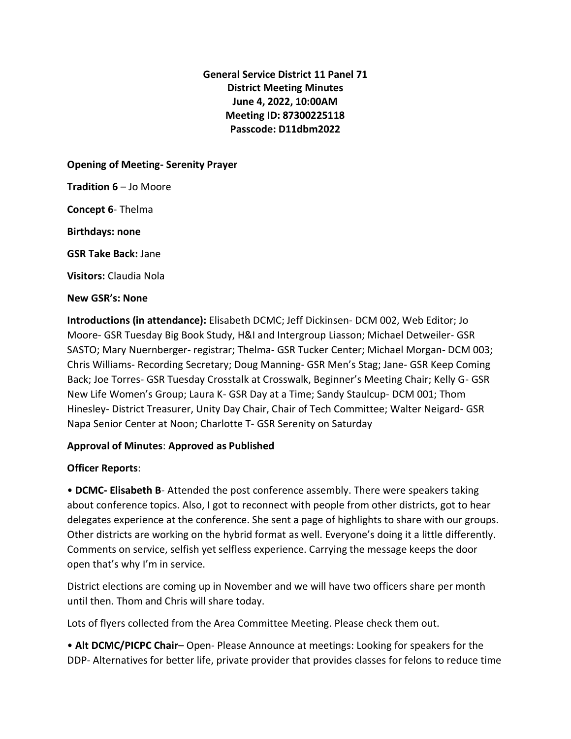# **General Service District 11 Panel 71 District Meeting Minutes June 4, 2022, 10:00AM Meeting ID: 87300225118 Passcode: D11dbm2022**

**Opening of Meeting- Serenity Prayer**

**Tradition 6** – Jo Moore

**Concept 6**- Thelma

**Birthdays: none**

**GSR Take Back:** Jane

**Visitors:** Claudia Nola

## **New GSR's: None**

**Introductions (in attendance):** Elisabeth DCMC; Jeff Dickinsen- DCM 002, Web Editor; Jo Moore- GSR Tuesday Big Book Study, H&I and Intergroup Liasson; Michael Detweiler- GSR SASTO; Mary Nuernberger- registrar; Thelma- GSR Tucker Center; Michael Morgan- DCM 003; Chris Williams- Recording Secretary; Doug Manning- GSR Men's Stag; Jane- GSR Keep Coming Back; Joe Torres- GSR Tuesday Crosstalk at Crosswalk, Beginner's Meeting Chair; Kelly G- GSR New Life Women's Group; Laura K- GSR Day at a Time; Sandy Staulcup- DCM 001; Thom Hinesley- District Treasurer, Unity Day Chair, Chair of Tech Committee; Walter Neigard- GSR Napa Senior Center at Noon; Charlotte T- GSR Serenity on Saturday

## **Approval of Minutes**: **Approved as Published**

## **Officer Reports**:

• **DCMC- Elisabeth B**- Attended the post conference assembly. There were speakers taking about conference topics. Also, I got to reconnect with people from other districts, got to hear delegates experience at the conference. She sent a page of highlights to share with our groups. Other districts are working on the hybrid format as well. Everyone's doing it a little differently. Comments on service, selfish yet selfless experience. Carrying the message keeps the door open that's why I'm in service.

District elections are coming up in November and we will have two officers share per month until then. Thom and Chris will share today.

Lots of flyers collected from the Area Committee Meeting. Please check them out.

• **Alt DCMC/PICPC Chair**– Open- Please Announce at meetings: Looking for speakers for the DDP- Alternatives for better life, private provider that provides classes for felons to reduce time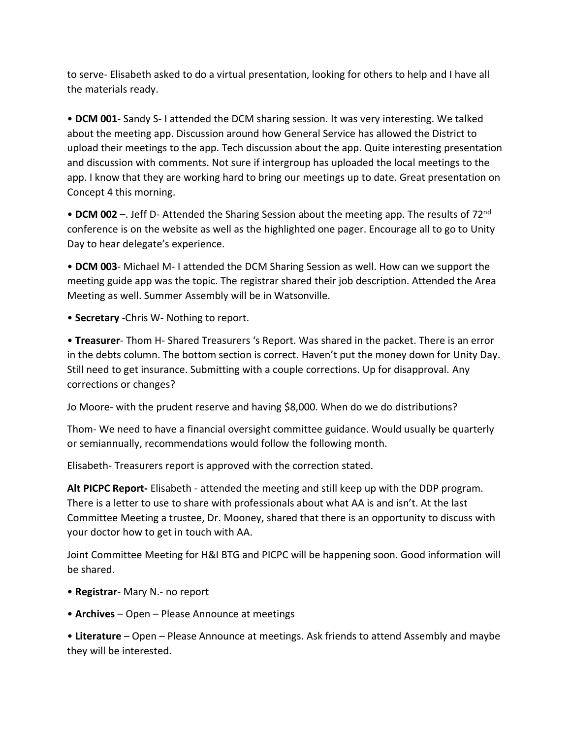to serve- Elisabeth asked to do a virtual presentation, looking for others to help and I have all the materials ready.

• **DCM 001**- Sandy S- I attended the DCM sharing session. It was very interesting. We talked about the meeting app. Discussion around how General Service has allowed the District to upload their meetings to the app. Tech discussion about the app. Quite interesting presentation and discussion with comments. Not sure if intergroup has uploaded the local meetings to the app. I know that they are working hard to bring our meetings up to date. Great presentation on Concept 4 this morning.

• **DCM 002** –. Jeff D- Attended the Sharing Session about the meeting app. The results of 72<sup>nd</sup> conference is on the website as well as the highlighted one pager. Encourage all to go to Unity Day to hear delegate's experience.

• **DCM 003**- Michael M- I attended the DCM Sharing Session as well. How can we support the meeting guide app was the topic. The registrar shared their job description. Attended the Area Meeting as well. Summer Assembly will be in Watsonville.

• **Secretary** -Chris W- Nothing to report.

• **Treasurer**- Thom H- Shared Treasurers 's Report. Was shared in the packet. There is an error in the debts column. The bottom section is correct. Haven't put the money down for Unity Day. Still need to get insurance. Submitting with a couple corrections. Up for disapproval. Any corrections or changes?

Jo Moore- with the prudent reserve and having \$8,000. When do we do distributions?

Thom- We need to have a financial oversight committee guidance. Would usually be quarterly or semiannually, recommendations would follow the following month.

Elisabeth- Treasurers report is approved with the correction stated.

**Alt PICPC Report-** Elisabeth - attended the meeting and still keep up with the DDP program. There is a letter to use to share with professionals about what AA is and isn't. At the last Committee Meeting a trustee, Dr. Mooney, shared that there is an opportunity to discuss with your doctor how to get in touch with AA.

Joint Committee Meeting for H&I BTG and PICPC will be happening soon. Good information will be shared.

- **Registrar** Mary N.- no report
- **Archives**  Open Please Announce at meetings

• **Literature** – Open – Please Announce at meetings. Ask friends to attend Assembly and maybe they will be interested.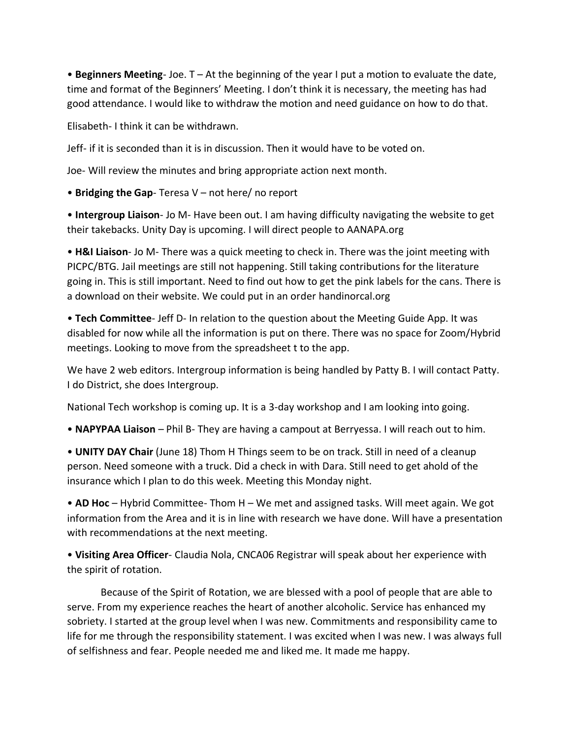• **Beginners Meeting**- Joe. T – At the beginning of the year I put a motion to evaluate the date, time and format of the Beginners' Meeting. I don't think it is necessary, the meeting has had good attendance. I would like to withdraw the motion and need guidance on how to do that.

Elisabeth- I think it can be withdrawn.

Jeff- if it is seconded than it is in discussion. Then it would have to be voted on.

Joe- Will review the minutes and bring appropriate action next month.

• **Bridging the Gap**- Teresa V – not here/ no report

• **Intergroup Liaison**- Jo M- Have been out. I am having difficulty navigating the website to get their takebacks. Unity Day is upcoming. I will direct people to AANAPA.org

• **H&I Liaison**- Jo M- There was a quick meeting to check in. There was the joint meeting with PICPC/BTG. Jail meetings are still not happening. Still taking contributions for the literature going in. This is still important. Need to find out how to get the pink labels for the cans. There is a download on their website. We could put in an order handinorcal.org

• **Tech Committee**- Jeff D- In relation to the question about the Meeting Guide App. It was disabled for now while all the information is put on there. There was no space for Zoom/Hybrid meetings. Looking to move from the spreadsheet t to the app.

We have 2 web editors. Intergroup information is being handled by Patty B. I will contact Patty. I do District, she does Intergroup.

National Tech workshop is coming up. It is a 3-day workshop and I am looking into going.

• **NAPYPAA Liaison** – Phil B- They are having a campout at Berryessa. I will reach out to him.

• **UNITY DAY Chair** (June 18) Thom H Things seem to be on track. Still in need of a cleanup person. Need someone with a truck. Did a check in with Dara. Still need to get ahold of the insurance which I plan to do this week. Meeting this Monday night.

• **AD Hoc** – Hybrid Committee- Thom H – We met and assigned tasks. Will meet again. We got information from the Area and it is in line with research we have done. Will have a presentation with recommendations at the next meeting.

• **Visiting Area Officer**- Claudia Nola, CNCA06 Registrar will speak about her experience with the spirit of rotation.

Because of the Spirit of Rotation, we are blessed with a pool of people that are able to serve. From my experience reaches the heart of another alcoholic. Service has enhanced my sobriety. I started at the group level when I was new. Commitments and responsibility came to life for me through the responsibility statement. I was excited when I was new. I was always full of selfishness and fear. People needed me and liked me. It made me happy.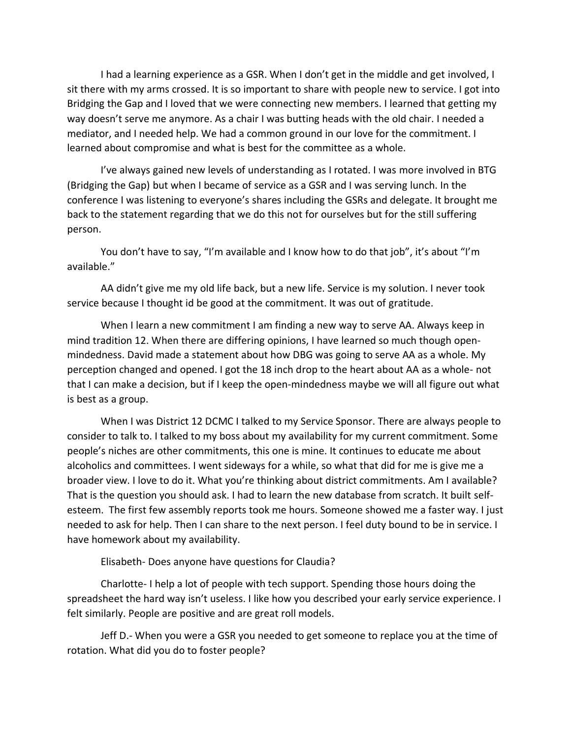I had a learning experience as a GSR. When I don't get in the middle and get involved, I sit there with my arms crossed. It is so important to share with people new to service. I got into Bridging the Gap and I loved that we were connecting new members. I learned that getting my way doesn't serve me anymore. As a chair I was butting heads with the old chair. I needed a mediator, and I needed help. We had a common ground in our love for the commitment. I learned about compromise and what is best for the committee as a whole.

I've always gained new levels of understanding as I rotated. I was more involved in BTG (Bridging the Gap) but when I became of service as a GSR and I was serving lunch. In the conference I was listening to everyone's shares including the GSRs and delegate. It brought me back to the statement regarding that we do this not for ourselves but for the still suffering person.

You don't have to say, "I'm available and I know how to do that job", it's about "I'm available."

AA didn't give me my old life back, but a new life. Service is my solution. I never took service because I thought id be good at the commitment. It was out of gratitude.

When I learn a new commitment I am finding a new way to serve AA. Always keep in mind tradition 12. When there are differing opinions, I have learned so much though openmindedness. David made a statement about how DBG was going to serve AA as a whole. My perception changed and opened. I got the 18 inch drop to the heart about AA as a whole- not that I can make a decision, but if I keep the open-mindedness maybe we will all figure out what is best as a group.

When I was District 12 DCMC I talked to my Service Sponsor. There are always people to consider to talk to. I talked to my boss about my availability for my current commitment. Some people's niches are other commitments, this one is mine. It continues to educate me about alcoholics and committees. I went sideways for a while, so what that did for me is give me a broader view. I love to do it. What you're thinking about district commitments. Am I available? That is the question you should ask. I had to learn the new database from scratch. It built selfesteem. The first few assembly reports took me hours. Someone showed me a faster way. I just needed to ask for help. Then I can share to the next person. I feel duty bound to be in service. I have homework about my availability.

Elisabeth- Does anyone have questions for Claudia?

Charlotte- I help a lot of people with tech support. Spending those hours doing the spreadsheet the hard way isn't useless. I like how you described your early service experience. I felt similarly. People are positive and are great roll models.

Jeff D.- When you were a GSR you needed to get someone to replace you at the time of rotation. What did you do to foster people?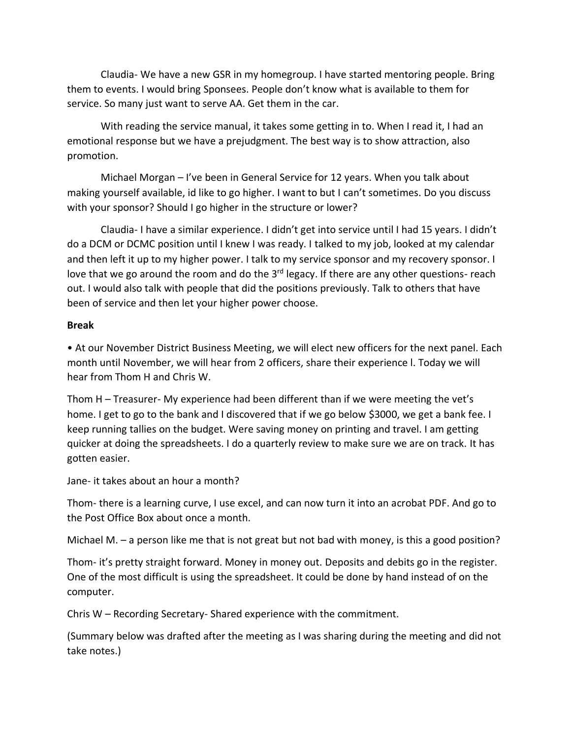Claudia- We have a new GSR in my homegroup. I have started mentoring people. Bring them to events. I would bring Sponsees. People don't know what is available to them for service. So many just want to serve AA. Get them in the car.

With reading the service manual, it takes some getting in to. When I read it, I had an emotional response but we have a prejudgment. The best way is to show attraction, also promotion.

Michael Morgan – I've been in General Service for 12 years. When you talk about making yourself available, id like to go higher. I want to but I can't sometimes. Do you discuss with your sponsor? Should I go higher in the structure or lower?

Claudia- I have a similar experience. I didn't get into service until I had 15 years. I didn't do a DCM or DCMC position until I knew I was ready. I talked to my job, looked at my calendar and then left it up to my higher power. I talk to my service sponsor and my recovery sponsor. I love that we go around the room and do the 3<sup>rd</sup> legacy. If there are any other questions- reach out. I would also talk with people that did the positions previously. Talk to others that have been of service and then let your higher power choose.

## **Break**

• At our November District Business Meeting, we will elect new officers for the next panel. Each month until November, we will hear from 2 officers, share their experience l. Today we will hear from Thom H and Chris W.

Thom H – Treasurer- My experience had been different than if we were meeting the vet's home. I get to go to the bank and I discovered that if we go below \$3000, we get a bank fee. I keep running tallies on the budget. Were saving money on printing and travel. I am getting quicker at doing the spreadsheets. I do a quarterly review to make sure we are on track. It has gotten easier.

Jane- it takes about an hour a month?

Thom- there is a learning curve, I use excel, and can now turn it into an acrobat PDF. And go to the Post Office Box about once a month.

Michael M. – a person like me that is not great but not bad with money, is this a good position?

Thom- it's pretty straight forward. Money in money out. Deposits and debits go in the register. One of the most difficult is using the spreadsheet. It could be done by hand instead of on the computer.

Chris W – Recording Secretary- Shared experience with the commitment.

(Summary below was drafted after the meeting as I was sharing during the meeting and did not take notes.)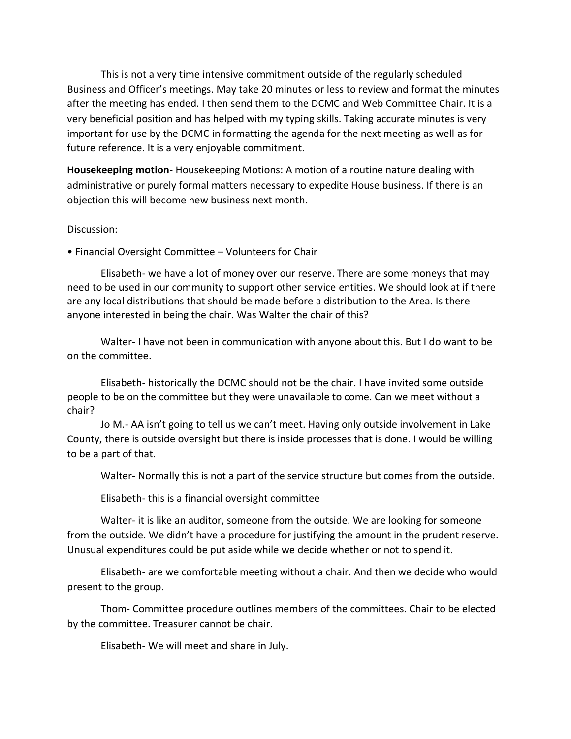This is not a very time intensive commitment outside of the regularly scheduled Business and Officer's meetings. May take 20 minutes or less to review and format the minutes after the meeting has ended. I then send them to the DCMC and Web Committee Chair. It is a very beneficial position and has helped with my typing skills. Taking accurate minutes is very important for use by the DCMC in formatting the agenda for the next meeting as well as for future reference. It is a very enjoyable commitment.

**Housekeeping motion**- Housekeeping Motions: A motion of a routine nature dealing with administrative or purely formal matters necessary to expedite House business. If there is an objection this will become new business next month.

### Discussion:

• Financial Oversight Committee – Volunteers for Chair

Elisabeth- we have a lot of money over our reserve. There are some moneys that may need to be used in our community to support other service entities. We should look at if there are any local distributions that should be made before a distribution to the Area. Is there anyone interested in being the chair. Was Walter the chair of this?

Walter- I have not been in communication with anyone about this. But I do want to be on the committee.

Elisabeth- historically the DCMC should not be the chair. I have invited some outside people to be on the committee but they were unavailable to come. Can we meet without a chair?

Jo M.- AA isn't going to tell us we can't meet. Having only outside involvement in Lake County, there is outside oversight but there is inside processes that is done. I would be willing to be a part of that.

Walter- Normally this is not a part of the service structure but comes from the outside.

Elisabeth- this is a financial oversight committee

Walter- it is like an auditor, someone from the outside. We are looking for someone from the outside. We didn't have a procedure for justifying the amount in the prudent reserve. Unusual expenditures could be put aside while we decide whether or not to spend it.

Elisabeth- are we comfortable meeting without a chair. And then we decide who would present to the group.

Thom- Committee procedure outlines members of the committees. Chair to be elected by the committee. Treasurer cannot be chair.

Elisabeth- We will meet and share in July.